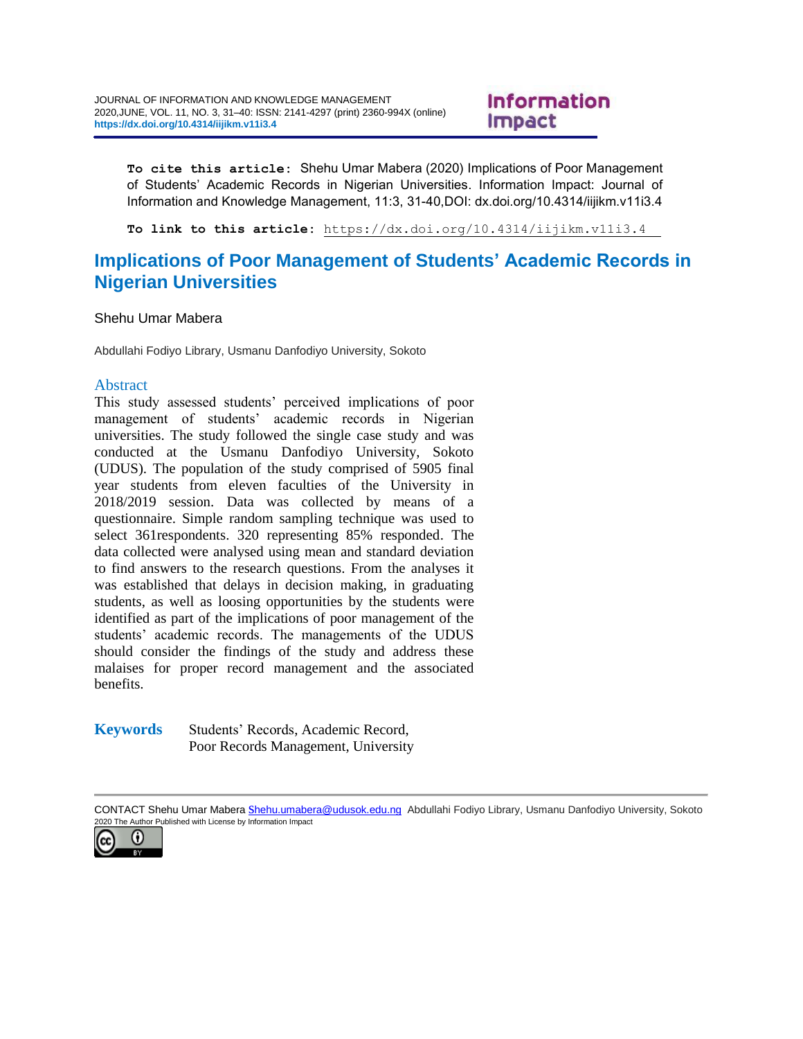# **Information Impact**

**To cite this article:** Shehu Umar Mabera (2020) Implications of Poor Management of Students' Academic Records in Nigerian Universities. Information Impact: Journal of Information and Knowledge Management, 11:3, 31-40,DOI: dx.doi.org/10.4314/iijikm.v11i3.4

**To link to this article:** <https://dx.doi.org/10.4314/iijikm.v11i3.4>

# **Implications of Poor Management of Students' Academic Records in Nigerian Universities**

Shehu Umar Mabera

Abdullahi Fodiyo Library, Usmanu Danfodiyo University, Sokoto

### Abstract

This study assessed students' perceived implications of poor management of students' academic records in Nigerian universities. The study followed the single case study and was conducted at the Usmanu Danfodiyo University, Sokoto (UDUS). The population of the study comprised of 5905 final year students from eleven faculties of the University in 2018/2019 session. Data was collected by means of a questionnaire. Simple random sampling technique was used to select 361respondents. 320 representing 85% responded. The data collected were analysed using mean and standard deviation to find answers to the research questions. From the analyses it was established that delays in decision making, in graduating students, as well as loosing opportunities by the students were identified as part of the implications of poor management of the students' academic records. The managements of the UDUS should consider the findings of the study and address these malaises for proper record management and the associated benefits.

#### **Keywords** Students' Records, Academic Record, Poor Records Management, University

CONTACT Shehu Umar Mabera s[hehu.umabera@udusok.edu.ng](mailto:shehu.umabera@udusok.edu.ng) Abdullahi Fodiyo Library, Usmanu Danfodiyo University, Sokoto 020 The Author Published with License by Information Impact

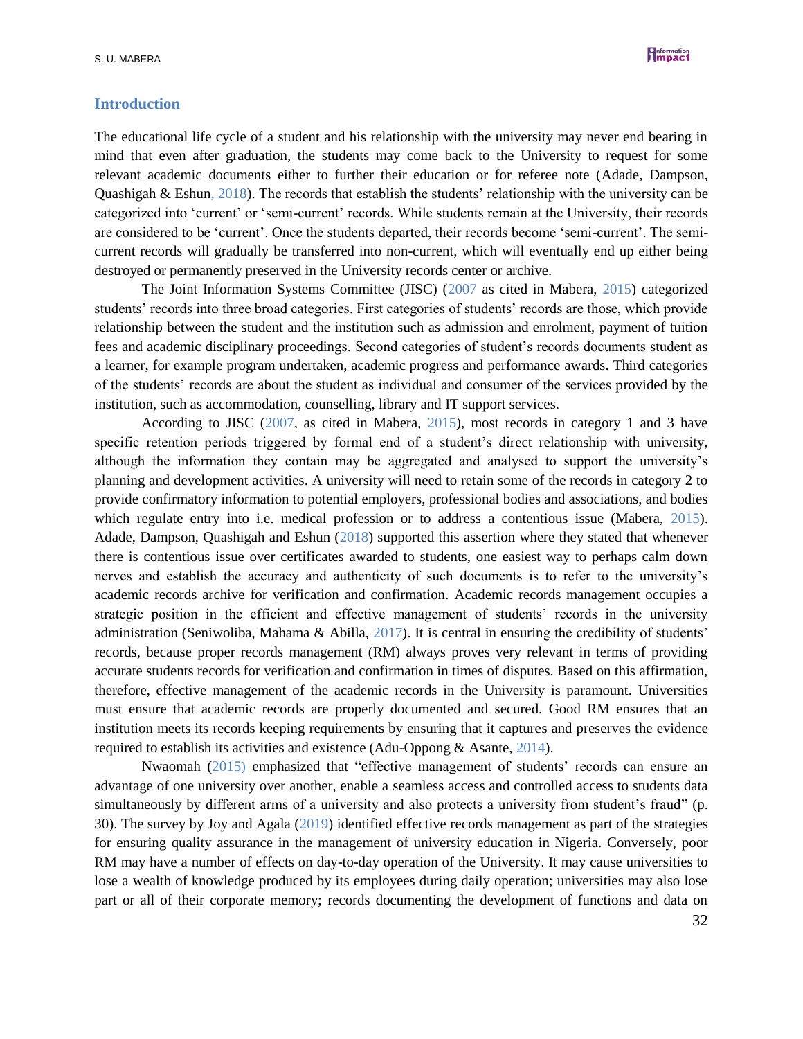

#### **Introduction**

The educational life cycle of a student and his relationship with the university may never end bearing in mind that even after graduation, the students may come back to the University to request for some relevant academic documents either to further their education or for referee note (Adade, Dampson, Quashigah & Eshun, 2018). The records that establish the students' relationship with the university can be categorized into 'current' or 'semi-current' records. While students remain at the University, their records are considered to be 'current'. Once the students departed, their records become 'semi-current'. The semicurrent records will gradually be transferred into non-current, which will eventually end up either being destroyed or permanently preserved in the University records center or archive.

The Joint Information Systems Committee (JISC) (2007 as cited in Mabera, 2015) categorized students' records into three broad categories. First categories of students' records are those, which provide relationship between the student and the institution such as admission and enrolment, payment of tuition fees and academic disciplinary proceedings. Second categories of student's records documents student as a learner, for example program undertaken, academic progress and performance awards. Third categories of the students' records are about the student as individual and consumer of the services provided by the institution, such as accommodation, counselling, library and IT support services.

According to JISC (2007, as cited in Mabera, 2015), most records in category 1 and 3 have specific retention periods triggered by formal end of a student's direct relationship with university, although the information they contain may be aggregated and analysed to support the university's planning and development activities. A university will need to retain some of the records in category 2 to provide confirmatory information to potential employers, professional bodies and associations, and bodies which regulate entry into i.e. medical profession or to address a contentious issue (Mabera, 2015). Adade, Dampson, Quashigah and Eshun (2018) supported this assertion where they stated that whenever there is contentious issue over certificates awarded to students, one easiest way to perhaps calm down nerves and establish the accuracy and authenticity of such documents is to refer to the university's academic records archive for verification and confirmation. Academic records management occupies a strategic position in the efficient and effective management of students' records in the university administration (Seniwoliba, Mahama & Abilla, 2017). It is central in ensuring the credibility of students' records, because proper records management (RM) always proves very relevant in terms of providing accurate students records for verification and confirmation in times of disputes. Based on this affirmation, therefore, effective management of the academic records in the University is paramount. Universities must ensure that academic records are properly documented and secured. Good RM ensures that an institution meets its records keeping requirements by ensuring that it captures and preserves the evidence required to establish its activities and existence (Adu-Oppong & Asante, 2014).

Nwaomah (2015) emphasized that "effective management of students' records can ensure an advantage of one university over another, enable a seamless access and controlled access to students data simultaneously by different arms of a university and also protects a university from student's fraud" (p. 30). The survey by Joy and Agala (2019) identified effective records management as part of the strategies for ensuring quality assurance in the management of university education in Nigeria. Conversely, poor RM may have a number of effects on day-to-day operation of the University. It may cause universities to lose a wealth of knowledge produced by its employees during daily operation; universities may also lose part or all of their corporate memory; records documenting the development of functions and data on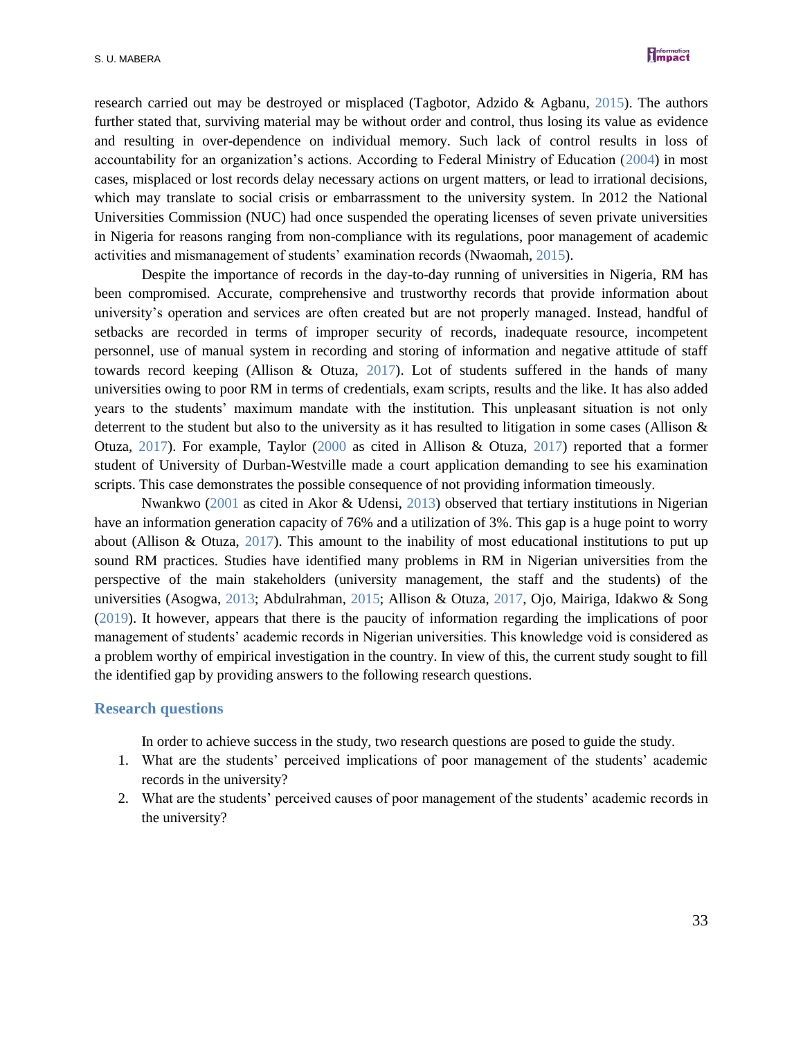

research carried out may be destroyed or misplaced (Tagbotor, Adzido & Agbanu, 2015). The authors further stated that, surviving material may be without order and control, thus losing its value as evidence and resulting in over-dependence on individual memory. Such lack of control results in loss of accountability for an organization's actions. According to Federal Ministry of Education (2004) in most cases, misplaced or lost records delay necessary actions on urgent matters, or lead to irrational decisions, which may translate to social crisis or embarrassment to the university system. In 2012 the National Universities Commission (NUC) had once suspended the operating licenses of seven private universities in Nigeria for reasons ranging from non-compliance with its regulations, poor management of academic activities and mismanagement of students' examination records (Nwaomah, 2015).

Despite the importance of records in the day-to-day running of universities in Nigeria, RM has been compromised. Accurate, comprehensive and trustworthy records that provide information about university's operation and services are often created but are not properly managed. Instead, handful of setbacks are recorded in terms of improper security of records, inadequate resource, incompetent personnel, use of manual system in recording and storing of information and negative attitude of staff towards record keeping (Allison & Otuza, 2017). Lot of students suffered in the hands of many universities owing to poor RM in terms of credentials, exam scripts, results and the like. It has also added years to the students' maximum mandate with the institution. This unpleasant situation is not only deterrent to the student but also to the university as it has resulted to litigation in some cases (Allison & Otuza, 2017). For example, Taylor (2000 as cited in Allison & Otuza, 2017) reported that a former student of University of Durban-Westville made a court application demanding to see his examination scripts. This case demonstrates the possible consequence of not providing information timeously.

Nwankwo (2001 as cited in Akor & Udensi, 2013) observed that tertiary institutions in Nigerian have an information generation capacity of 76% and a utilization of 3%. This gap is a huge point to worry about (Allison & Otuza,  $2017$ ). This amount to the inability of most educational institutions to put up sound RM practices. Studies have identified many problems in RM in Nigerian universities from the perspective of the main stakeholders (university management, the staff and the students) of the universities (Asogwa, 2013; Abdulrahman, 2015; Allison & Otuza, 2017, Ojo, Mairiga, Idakwo & Song (2019). It however, appears that there is the paucity of information regarding the implications of poor management of students' academic records in Nigerian universities. This knowledge void is considered as a problem worthy of empirical investigation in the country. In view of this, the current study sought to fill the identified gap by providing answers to the following research questions.

#### **Research questions**

In order to achieve success in the study, two research questions are posed to guide the study.

- 1. What are the students' perceived implications of poor management of the students' academic records in the university?
- 2. What are the students' perceived causes of poor management of the students' academic records in the university?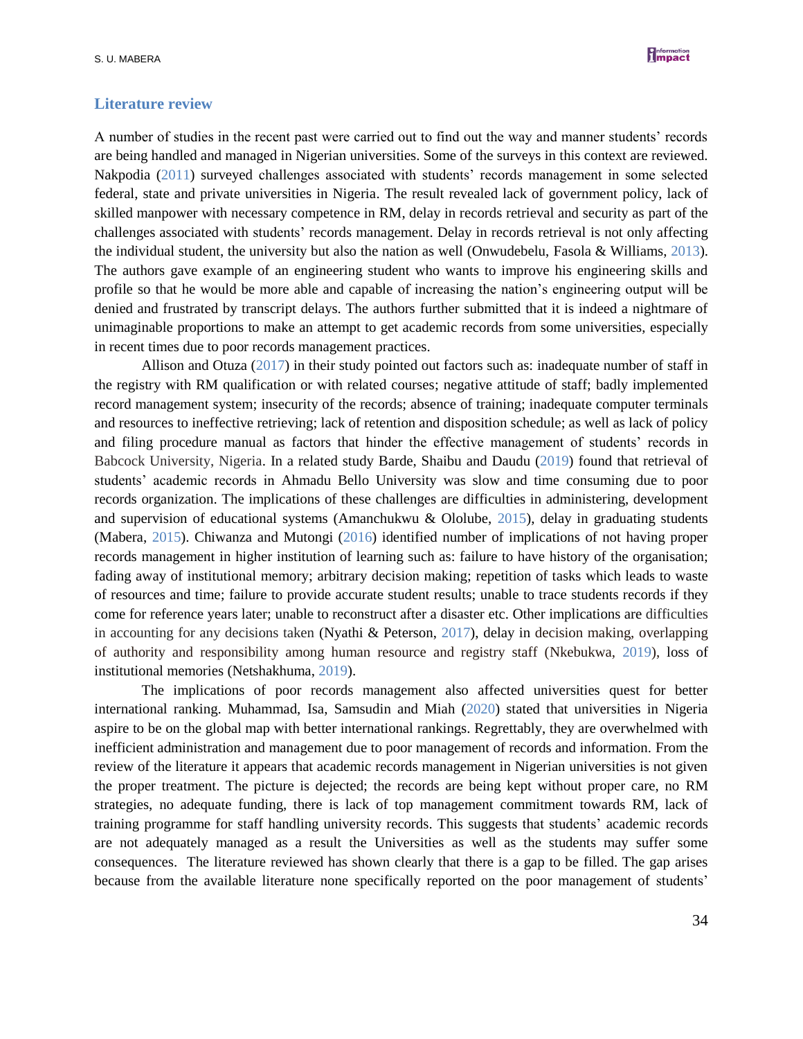

#### **Literature review**

A number of studies in the recent past were carried out to find out the way and manner students' records are being handled and managed in Nigerian universities. Some of the surveys in this context are reviewed. Nakpodia (2011) surveyed challenges associated with students' records management in some selected federal, state and private universities in Nigeria. The result revealed lack of government policy, lack of skilled manpower with necessary competence in RM, delay in records retrieval and security as part of the challenges associated with students' records management. Delay in records retrieval is not only affecting the individual student, the university but also the nation as well (Onwudebelu, Fasola & Williams, 2013). The authors gave example of an engineering student who wants to improve his engineering skills and profile so that he would be more able and capable of increasing the nation's engineering output will be denied and frustrated by transcript delays. The authors further submitted that it is indeed a nightmare of unimaginable proportions to make an attempt to get academic records from some universities, especially in recent times due to poor records management practices.

Allison and Otuza (2017) in their study pointed out factors such as: inadequate number of staff in the registry with RM qualification or with related courses; negative attitude of staff; badly implemented record management system; insecurity of the records; absence of training; inadequate computer terminals and resources to ineffective retrieving; lack of retention and disposition schedule; as well as lack of policy and filing procedure manual as factors that hinder the effective management of students' records in Babcock University, Nigeria. In a related study Barde, Shaibu and Daudu (2019) found that retrieval of students' academic records in Ahmadu Bello University was slow and time consuming due to poor records organization. The implications of these challenges are difficulties in administering, development and supervision of educational systems (Amanchukwu & Ololube, 2015), delay in graduating students (Mabera, 2015). Chiwanza and Mutongi (2016) identified number of implications of not having proper records management in higher institution of learning such as: failure to have history of the organisation; fading away of institutional memory; arbitrary decision making; repetition of tasks which leads to waste of resources and time; failure to provide accurate student results; unable to trace students records if they come for reference years later; unable to reconstruct after a disaster etc. Other implications are difficulties in accounting for any decisions taken (Nyathi & Peterson, 2017), delay in decision making, overlapping of authority and responsibility among human resource and registry staff (Nkebukwa, 2019), loss of institutional memories (Netshakhuma, 2019).

The implications of poor records management also affected universities quest for better international ranking. Muhammad, Isa, Samsudin and Miah (2020) stated that universities in Nigeria aspire to be on the global map with better international rankings. Regrettably, they are overwhelmed with inefficient administration and management due to poor management of records and information. From the review of the literature it appears that academic records management in Nigerian universities is not given the proper treatment. The picture is dejected; the records are being kept without proper care, no RM strategies, no adequate funding, there is lack of top management commitment towards RM, lack of training programme for staff handling university records. This suggests that students' academic records are not adequately managed as a result the Universities as well as the students may suffer some consequences. The literature reviewed has shown clearly that there is a gap to be filled. The gap arises because from the available literature none specifically reported on the poor management of students'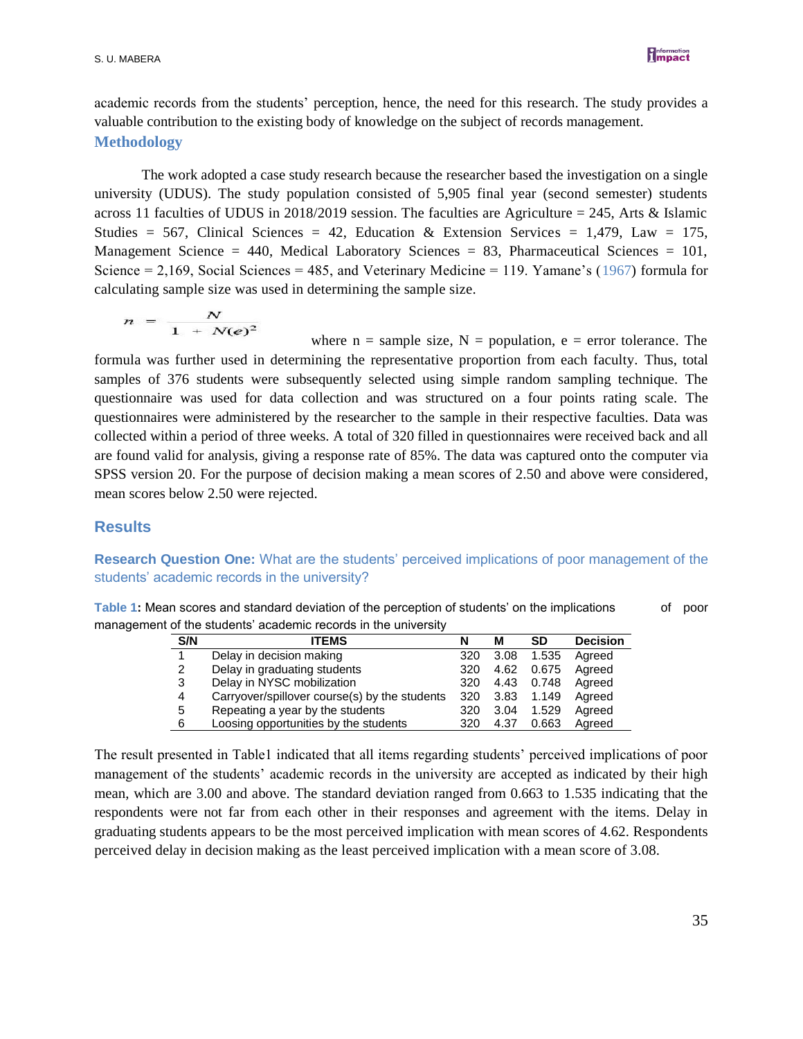

academic records from the students' perception, hence, the need for this research. The study provides a valuable contribution to the existing body of knowledge on the subject of records management. **Methodology**

The work adopted a case study research because the researcher based the investigation on a single university (UDUS). The study population consisted of 5,905 final year (second semester) students across 11 faculties of UDUS in 2018/2019 session. The faculties are Agriculture = 245, Arts & Islamic Studies = 567, Clinical Sciences = 42, Education & Extension Services = 1,479, Law = 175, Management Science = 440, Medical Laboratory Sciences = 83, Pharmaceutical Sciences = 101, Science  $= 2,169$ , Social Sciences  $= 485$ , and Veterinary Medicine  $= 119$ . Yamane's (1967) formula for calculating sample size was used in determining the sample size.

$$
n = \frac{N}{1 + N(e)^2}
$$

where  $n =$  sample size,  $N =$  population,  $e =$  error tolerance. The formula was further used in determining the representative proportion from each faculty. Thus, total samples of 376 students were subsequently selected using simple random sampling technique. The questionnaire was used for data collection and was structured on a four points rating scale. The questionnaires were administered by the researcher to the sample in their respective faculties. Data was collected within a period of three weeks. A total of 320 filled in questionnaires were received back and all are found valid for analysis, giving a response rate of 85%. The data was captured onto the computer via SPSS version 20. For the purpose of decision making a mean scores of 2.50 and above were considered, mean scores below 2.50 were rejected.

#### **Results**

### **Research Question One:** What are the students' perceived implications of poor management of the students' academic records in the university?

| Table 1: Mean scores and standard deviation of the perception of students' on the implications | of poor |
|------------------------------------------------------------------------------------------------|---------|
| management of the students' academic records in the university                                 |         |

| S/N | ITEMS                                         | N   | М    | <b>SD</b> | <b>Decision</b> |
|-----|-----------------------------------------------|-----|------|-----------|-----------------|
|     | Delay in decision making                      | 320 | 3.08 | 1.535     | Agreed          |
| 2   | Delay in graduating students                  | 320 | 4.62 | 0.675     | Agreed          |
| 3   | Delay in NYSC mobilization                    | 320 | 4.43 | 0.748     | Agreed          |
| 4   | Carryover/spillover course(s) by the students | 320 | 3.83 | 1.149     | Agreed          |
| 5   | Repeating a year by the students              | 320 | 3.04 | 1.529     | Agreed          |
| 6   | Loosing opportunities by the students         | 320 | 4.37 | 0.663     | Agreed          |

The result presented in Table1 indicated that all items regarding students' perceived implications of poor management of the students' academic records in the university are accepted as indicated by their high mean, which are 3.00 and above. The standard deviation ranged from 0.663 to 1.535 indicating that the respondents were not far from each other in their responses and agreement with the items. Delay in graduating students appears to be the most perceived implication with mean scores of 4.62. Respondents perceived delay in decision making as the least perceived implication with a mean score of 3.08.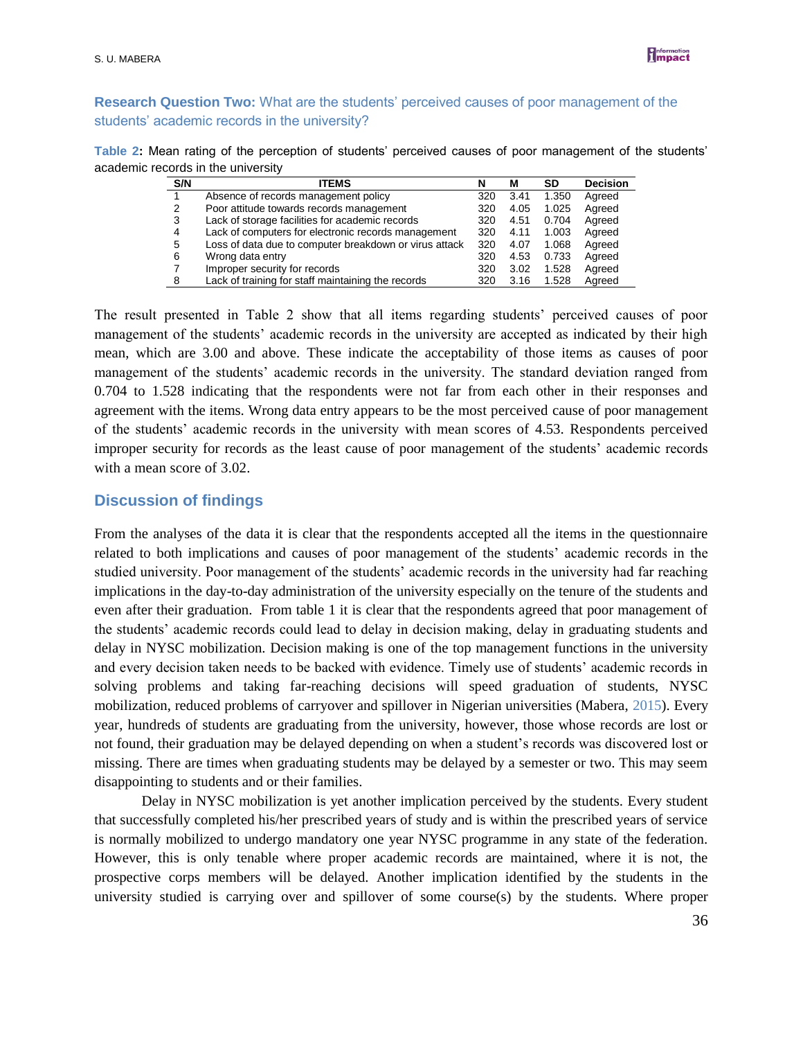

# **Research Question Two:** What are the students' perceived causes of poor management of the students' academic records in the university?

| Table 2: Mean rating of the perception of students' perceived causes of poor management of the students' |  |  |  |
|----------------------------------------------------------------------------------------------------------|--|--|--|
| academic records in the university                                                                       |  |  |  |

| S/N | <b>ITEMS</b>                                           | N   | М    | SD    | <b>Decision</b> |
|-----|--------------------------------------------------------|-----|------|-------|-----------------|
|     | Absence of records management policy                   | 320 | 3.41 | 1.350 | Agreed          |
| 2   | Poor attitude towards records management               | 320 | 4.05 | 1.025 | Agreed          |
| 3   | Lack of storage facilities for academic records        | 320 | 4.51 | 0.704 | Agreed          |
| 4   | Lack of computers for electronic records management    | 320 | 4.11 | 1.003 | Agreed          |
| 5   | Loss of data due to computer breakdown or virus attack | 320 | 4.07 | 1.068 | Agreed          |
| 6   | Wrong data entry                                       | 320 | 4.53 | 0.733 | Agreed          |
|     | Improper security for records                          | 320 | 3.02 | 1.528 | Agreed          |
| 8   | Lack of training for staff maintaining the records     | 320 | 3.16 | 1.528 | Agreed          |

The result presented in Table 2 show that all items regarding students' perceived causes of poor management of the students' academic records in the university are accepted as indicated by their high mean, which are 3.00 and above. These indicate the acceptability of those items as causes of poor management of the students' academic records in the university. The standard deviation ranged from 0.704 to 1.528 indicating that the respondents were not far from each other in their responses and agreement with the items. Wrong data entry appears to be the most perceived cause of poor management of the students' academic records in the university with mean scores of 4.53. Respondents perceived improper security for records as the least cause of poor management of the students' academic records with a mean score of 3.02.

# **Discussion of findings**

From the analyses of the data it is clear that the respondents accepted all the items in the questionnaire related to both implications and causes of poor management of the students' academic records in the studied university. Poor management of the students' academic records in the university had far reaching implications in the day-to-day administration of the university especially on the tenure of the students and even after their graduation. From table 1 it is clear that the respondents agreed that poor management of the students' academic records could lead to delay in decision making, delay in graduating students and delay in NYSC mobilization. Decision making is one of the top management functions in the university and every decision taken needs to be backed with evidence. Timely use of students' academic records in solving problems and taking far-reaching decisions will speed graduation of students, NYSC mobilization, reduced problems of carryover and spillover in Nigerian universities (Mabera, 2015). Every year, hundreds of students are graduating from the university, however, those whose records are lost or not found, their graduation may be delayed depending on when a student's records was discovered lost or missing. There are times when graduating students may be delayed by a semester or two. This may seem disappointing to students and or their families.

Delay in NYSC mobilization is yet another implication perceived by the students. Every student that successfully completed his/her prescribed years of study and is within the prescribed years of service is normally mobilized to undergo mandatory one year NYSC programme in any state of the federation. However, this is only tenable where proper academic records are maintained, where it is not, the prospective corps members will be delayed. Another implication identified by the students in the university studied is carrying over and spillover of some course(s) by the students. Where proper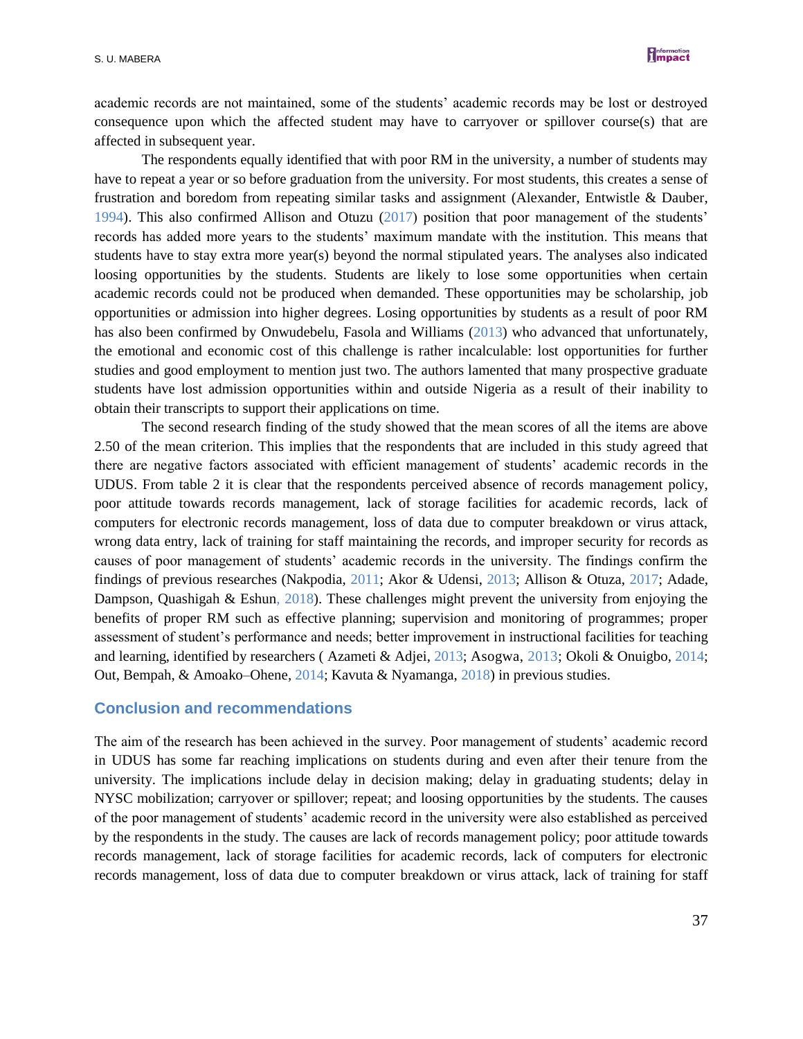

academic records are not maintained, some of the students' academic records may be lost or destroyed consequence upon which the affected student may have to carryover or spillover course(s) that are affected in subsequent year.

The respondents equally identified that with poor RM in the university, a number of students may have to repeat a year or so before graduation from the university. For most students, this creates a sense of frustration and boredom from repeating similar tasks and assignment (Alexander, Entwistle & Dauber, 1994). This also confirmed Allison and Otuzu (2017) position that poor management of the students' records has added more years to the students' maximum mandate with the institution. This means that students have to stay extra more year(s) beyond the normal stipulated years. The analyses also indicated loosing opportunities by the students. Students are likely to lose some opportunities when certain academic records could not be produced when demanded. These opportunities may be scholarship, job opportunities or admission into higher degrees. Losing opportunities by students as a result of poor RM has also been confirmed by Onwudebelu, Fasola and Williams (2013) who advanced that unfortunately, the emotional and economic cost of this challenge is rather incalculable: lost opportunities for further studies and good employment to mention just two. The authors lamented that many prospective graduate students have lost admission opportunities within and outside Nigeria as a result of their inability to obtain their transcripts to support their applications on time.

The second research finding of the study showed that the mean scores of all the items are above 2.50 of the mean criterion. This implies that the respondents that are included in this study agreed that there are negative factors associated with efficient management of students' academic records in the UDUS. From table 2 it is clear that the respondents perceived absence of records management policy, poor attitude towards records management, lack of storage facilities for academic records, lack of computers for electronic records management, loss of data due to computer breakdown or virus attack, wrong data entry, lack of training for staff maintaining the records, and improper security for records as causes of poor management of students' academic records in the university. The findings confirm the findings of previous researches (Nakpodia, 2011; Akor & Udensi, 2013; Allison & Otuza, 2017; Adade, Dampson, Quashigah & Eshun, 2018). These challenges might prevent the university from enjoying the benefits of proper RM such as effective planning; supervision and monitoring of programmes; proper assessment of student's performance and needs; better improvement in instructional facilities for teaching and learning, identified by researchers ( Azameti & Adjei, 2013; Asogwa, 2013; Okoli & Onuigbo, 2014; Out, Bempah, & Amoako–Ohene, 2014; Kavuta & Nyamanga, 2018) in previous studies.

#### **Conclusion and recommendations**

The aim of the research has been achieved in the survey. Poor management of students' academic record in UDUS has some far reaching implications on students during and even after their tenure from the university. The implications include delay in decision making; delay in graduating students; delay in NYSC mobilization; carryover or spillover; repeat; and loosing opportunities by the students. The causes of the poor management of students' academic record in the university were also established as perceived by the respondents in the study. The causes are lack of records management policy; poor attitude towards records management, lack of storage facilities for academic records, lack of computers for electronic records management, loss of data due to computer breakdown or virus attack, lack of training for staff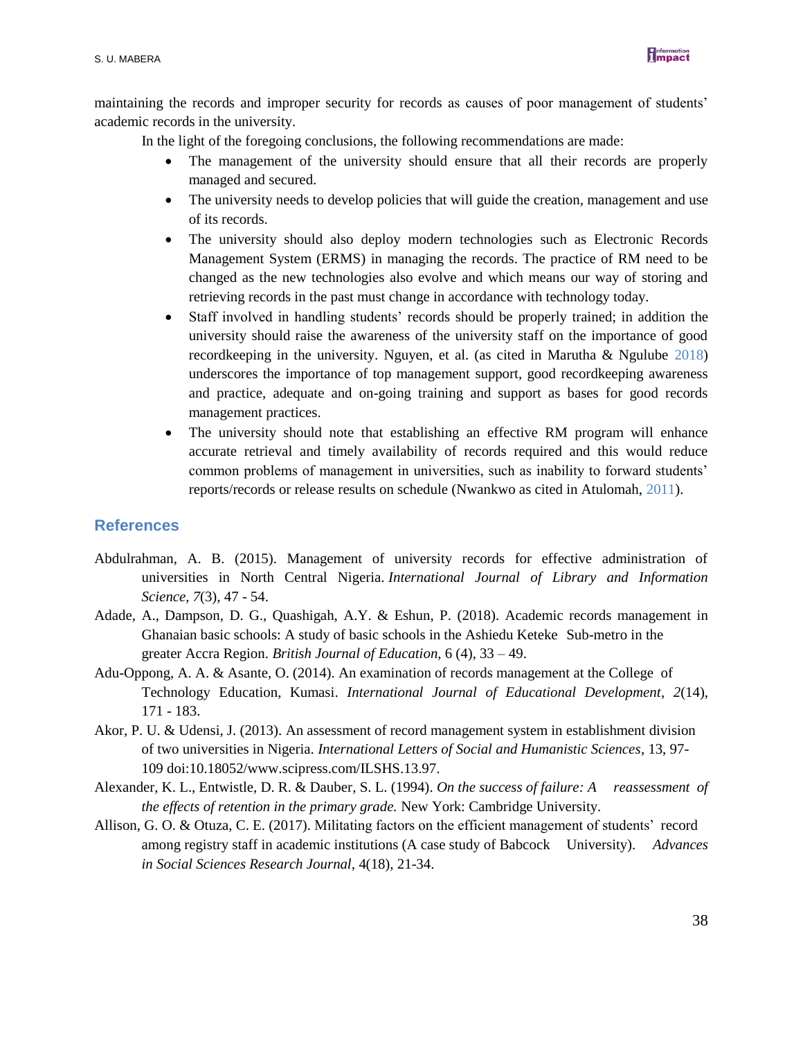

maintaining the records and improper security for records as causes of poor management of students' academic records in the university.

In the light of the foregoing conclusions, the following recommendations are made:

- The management of the university should ensure that all their records are properly managed and secured.
- The university needs to develop policies that will guide the creation, management and use of its records.
- The university should also deploy modern technologies such as Electronic Records Management System (ERMS) in managing the records. The practice of RM need to be changed as the new technologies also evolve and which means our way of storing and retrieving records in the past must change in accordance with technology today.
- Staff involved in handling students' records should be properly trained; in addition the university should raise the awareness of the university staff on the importance of good recordkeeping in the university. Nguyen, et al. (as cited in Marutha & Ngulube 2018) underscores the importance of top management support, good recordkeeping awareness and practice, adequate and on-going training and support as bases for good records management practices.
- The university should note that establishing an effective RM program will enhance accurate retrieval and timely availability of records required and this would reduce common problems of management in universities, such as inability to forward students' reports/records or release results on schedule (Nwankwo as cited in Atulomah, 2011).

#### **References**

- Abdulrahman, A. B. (2015). Management of university records for effective administration of universities in North Central Nigeria. *International Journal of Library and Information Science*, *7*(3), 47 - 54.
- Adade, A., Dampson, D. G., Quashigah, A.Y. & Eshun, P. (2018). Academic records management in Ghanaian basic schools: A study of basic schools in the Ashiedu Keteke Sub-metro in the greater Accra Region. *British Journal of Education*, 6 (4), 33 – 49.
- Adu-Oppong, A. A. & Asante, O. (2014). An examination of records management at the College of Technology Education, Kumasi. *International Journal of Educational Development*, *2*(14), 171 - 183.
- Akor, P. U. & Udensi, J. (2013). An assessment of record management system in establishment division of two universities in Nigeria. *International Letters of Social and Humanistic Sciences*, 13, 97- 109 doi:10.18052/www.scipress.com/ILSHS.13.97.
- Alexander, K. L., Entwistle, D. R. & Dauber, S. L. (1994). *On the success of failure: A reassessment of the effects of retention in the primary grade.* New York: Cambridge University.
- Allison, G. O. & Otuza, C. E. (2017). Militating factors on the efficient management of students' record among registry staff in academic institutions (A case study of Babcock University). *Advances in Social Sciences Research Journal,* 4(18), 21-34.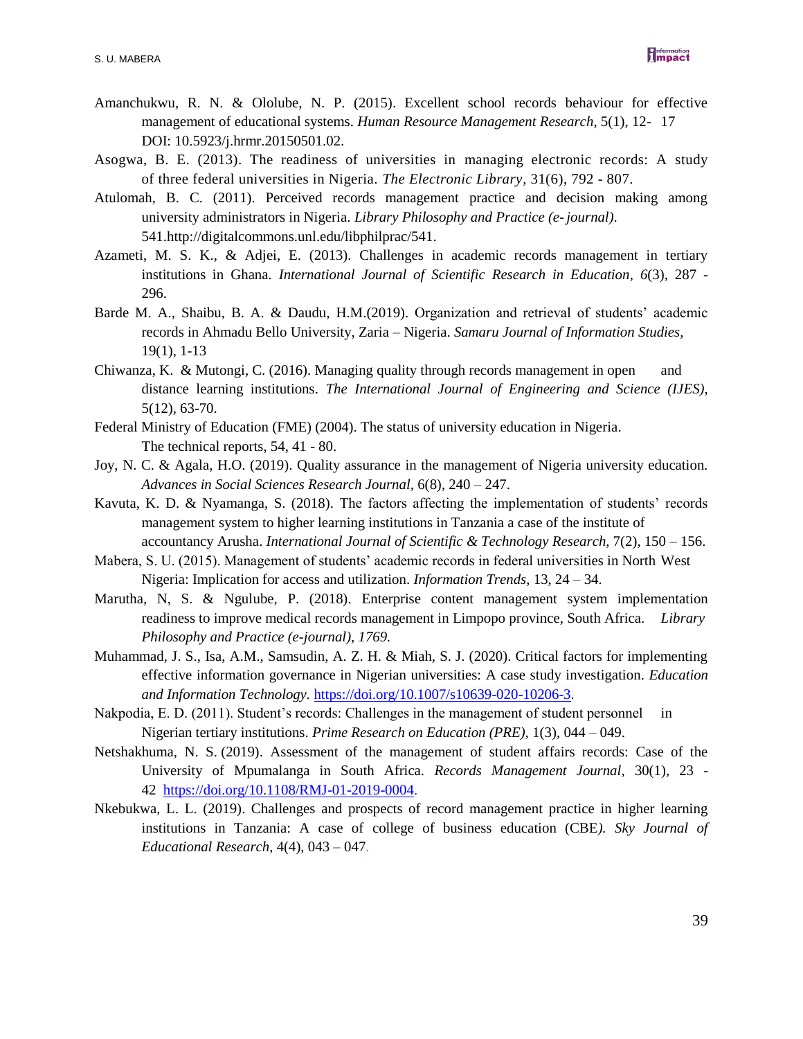

- Amanchukwu, R. N. & Ololube, N. P. (2015). Excellent school records behaviour for effective management of educational systems. *Human Resource Management Research*, 5(1), 12- 17 DOI: 10.5923/j.hrmr.20150501.02.
- Asogwa, B. E. (2013). The readiness of universities in managing electronic records: A study of three federal universities in Nigeria. *The Electronic Library*, 31(6), 792 - 807.
- Atulomah, B. C. (2011). Perceived records management practice and decision making among university administrators in Nigeria. *Library Philosophy and Practice (e-journal)*. 541.http://digitalcommons.unl.edu/libphilprac/541.
- Azameti, M. S. K., & Adjei, E. (2013). Challenges in academic records management in tertiary institutions in Ghana. *International Journal of Scientific Research in Education*, *6*(3), 287 - 296.
- Barde M. A., Shaibu, B. A. & Daudu, H.M.(2019). Organization and retrieval of students' academic records in Ahmadu Bello University, Zaria – Nigeria. *Samaru Journal of Information Studies*, 19(1), 1-13
- Chiwanza, K. & Mutongi, C. (2016). Managing quality through records management in open and distance learning institutions. *The International Journal of Engineering and Science (IJES)*, 5(12), 63-70.
- Federal Ministry of Education (FME) (2004). The status of university education in Nigeria. The technical reports, 54, 41 - 80.
- Joy, N. C. & Agala, H.O. (2019). Quality assurance in the management of Nigeria university education. *Advances in Social Sciences Research Journal,* 6(8), 240 – 247.
- Kavuta, K. D. & Nyamanga, S. (2018). The factors affecting the implementation of students' records management system to higher learning institutions in Tanzania a case of the institute of accountancy Arusha. *International Journal of Scientific & Technology Research,* 7(2), 150 – 156.
- Mabera, S. U. (2015). Management of students' academic records in federal universities in North West Nigeria: Implication for access and utilization. *Information Trends*, 13, 24 – 34.
- Marutha, N, S. & Ngulube, P. (2018). Enterprise content management system implementation readiness to improve medical records management in Limpopo province, South Africa. *Library Philosophy and Practice (e-journal), 1769.*
- Muhammad, J. S., Isa, A.M., Samsudin, A. Z. H. & Miah, S. J. (2020). Critical factors for implementing effective information governance in Nigerian universities: A case study investigation. *Education and Information Technology.* [https://doi.org/10.1007/s10639-020-10206-3.](https://doi.org/10.1007/s10639-020-10206-3)
- Nakpodia, E. D. (2011). Student's records: Challenges in the management of student personnel in Nigerian tertiary institutions. *Prime Research on Education (PRE),* 1(3), 044 – 049.
- Netshakhuma, N. S. (2019). Assessment of the management of student affairs records: Case of the University of Mpumalanga in South Africa. *Records Management Journal*, 30(1), 23 - 42 [https://doi.org/10.1108/RMJ-01-2019-0004.](https://doi.org/10.1108/RMJ-01-2019-0004)
- Nkebukwa, L. L. (2019). Challenges and prospects of record management practice in higher learning institutions in Tanzania: A case of college of business education (CBE*). Sky Journal of Educational Research,* 4(4), 043 – 047.